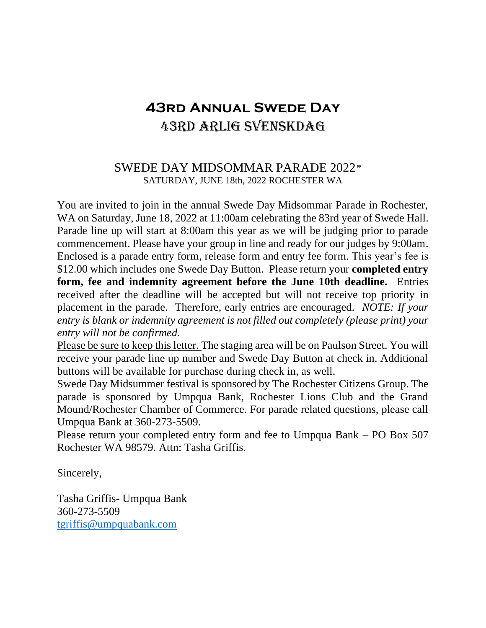# **43rd Annual Swede Day** 43rd Arlig svenskdag

#### SWEDE DAY MIDSOMMAR PARADE 2022*"* SATURDAY, JUNE 18th, 2022 ROCHESTER WA

You are invited to join in the annual Swede Day Midsommar Parade in Rochester, WA on Saturday, June 18, 2022 at 11:00am celebrating the 83rd year of Swede Hall. Parade line up will start at 8:00am this year as we will be judging prior to parade commencement. Please have your group in line and ready for our judges by 9:00am. Enclosed is a parade entry form, release form and entry fee form. This year's fee is \$12.00 which includes one Swede Day Button. Please return your **completed entry form, fee and indemnity agreement before the June 10th deadline.** Entries received after the deadline will be accepted but will not receive top priority in placement in the parade. Therefore, early entries are encouraged. *NOTE: If your entry is blank or indemnity agreement is not filled out completely (please print) your entry will not be confirmed.*

Please be sure to keep this letter. The staging area will be on Paulson Street. You will receive your parade line up number and Swede Day Button at check in. Additional buttons will be available for purchase during check in, as well.

Swede Day Midsummer festival is sponsored by The Rochester Citizens Group. The parade is sponsored by Umpqua Bank, Rochester Lions Club and the Grand Mound/Rochester Chamber of Commerce. For parade related questions, please call Umpqua Bank at 360-273-5509.

Please return your completed entry form and fee to Umpqua Bank – PO Box 507 Rochester WA 98579. Attn: Tasha Griffis.

Sincerely,

Tasha Griffis- Umpqua Bank 360-273-5509 [tgriffis@umpquabank.com](mailto:tgriffis@umpquabank.com)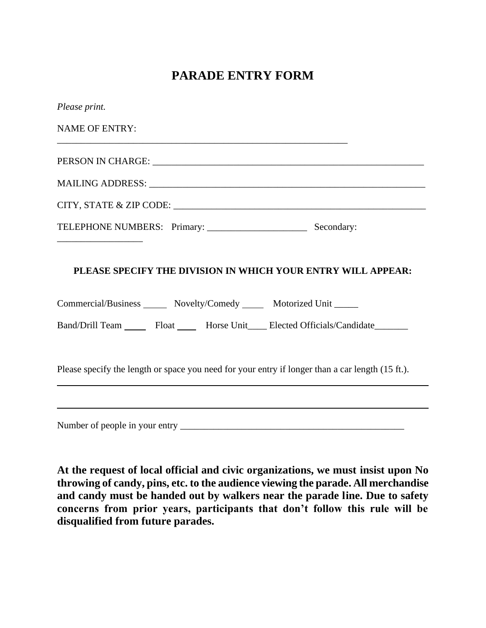## **PARADE ENTRY FORM**

| Please print.                                                                                                                             |
|-------------------------------------------------------------------------------------------------------------------------------------------|
| <b>NAME OF ENTRY:</b><br>and the control of the control of the control of the control of the control of the control of the control of the |
|                                                                                                                                           |
|                                                                                                                                           |
|                                                                                                                                           |
|                                                                                                                                           |
| PLEASE SPECIFY THE DIVISION IN WHICH YOUR ENTRY WILL APPEAR:                                                                              |
| Commercial/Business _______ Novelty/Comedy _______ Motorized Unit ______                                                                  |
| Band/Drill Team _______ Float _______ Horse Unit_____ Elected Officials/Candidate________                                                 |
| Please specify the length or space you need for your entry if longer than a car length (15 ft.).                                          |
|                                                                                                                                           |
|                                                                                                                                           |

**At the request of local official and civic organizations, we must insist upon No throwing of candy, pins, etc. to the audience viewing the parade. All merchandise and candy must be handed out by walkers near the parade line. Due to safety concerns from prior years, participants that don't follow this rule will be disqualified from future parades.**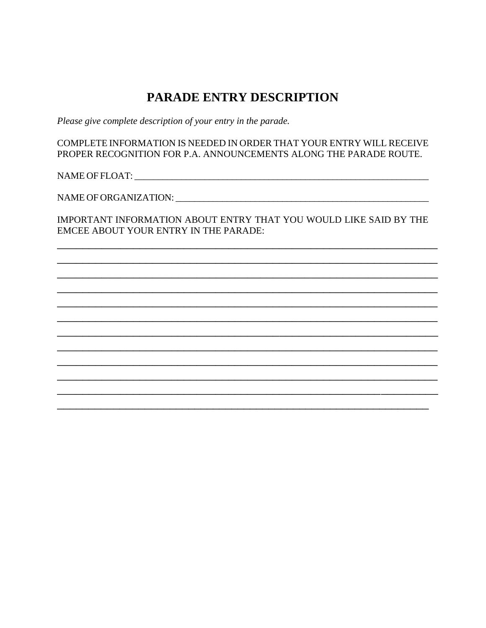### **PARADE ENTRY DESCRIPTION**

Please give complete description of your entry in the parade.

COMPLETE INFORMATION IS NEEDED IN ORDER THAT YOUR ENTRY WILL RECEIVE PROPER RECOGNITION FOR P.A. ANNOUNCEMENTS ALONG THE PARADE ROUTE.

IMPORTANT INFORMATION ABOUT ENTRY THAT YOU WOULD LIKE SAID BY THE EMCEE ABOUT YOUR ENTRY IN THE PARADE: